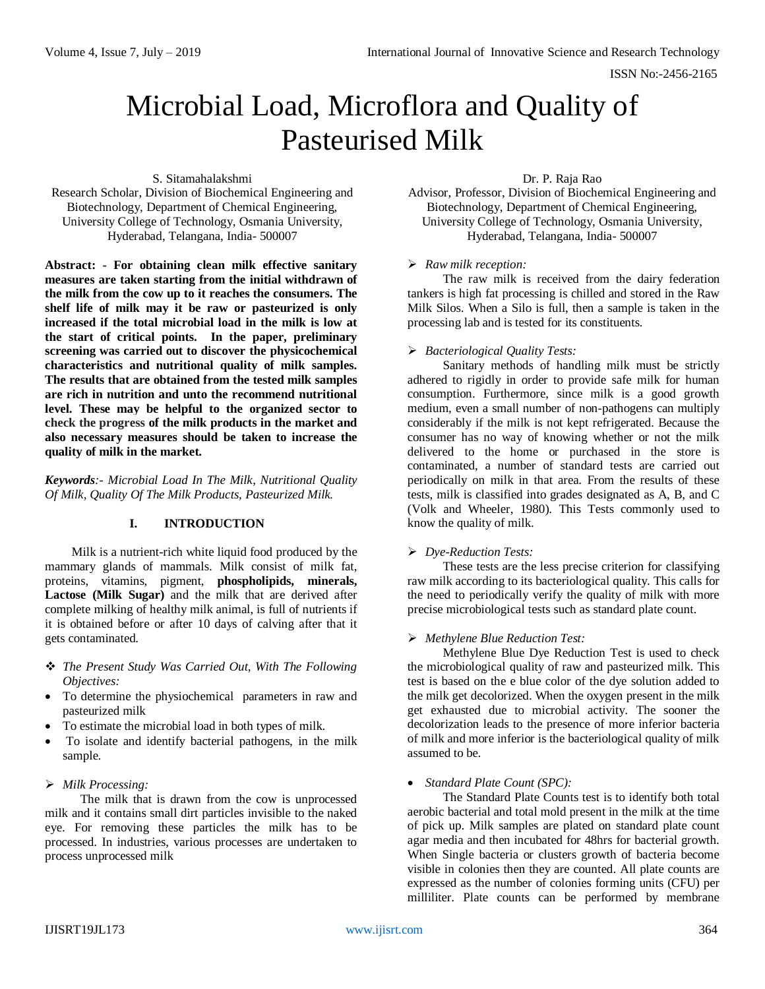Microbial Load, Microflora and Quality of Pasteurised Milk

S. Sitamahalakshmi

Research Scholar, Division of Biochemical Engineering and Biotechnology, Department of Chemical Engineering, University College of Technology, Osmania University, Hyderabad, Telangana, India- 500007

**Abstract: - For obtaining clean milk effective sanitary measures are taken starting from the initial withdrawn of the milk from the cow up to it reaches the consumers. The shelf life of milk may it be raw or pasteurized is only increased if the total microbial load in the milk is low at the start of critical points. In the paper, preliminary screening was carried out to discover the physicochemical characteristics and nutritional quality of milk samples. The results that are obtained from the tested milk samples are rich in nutrition and unto the recommend nutritional level. These may be helpful to the organized sector to check the progress of the milk products in the market and also necessary measures should be taken to increase the quality of milk in the market.**

*Keywords:- Microbial Load In The Milk*, *Nutritional Quality Of Milk, Quality Of The Milk Products, Pasteurized Milk.*

## **I. INTRODUCTION**

Milk is a nutrient-rich white liquid food produced by the mammary glands of mammals. Milk consist of milk fat, proteins, vitamins, pigment, **phospholipids, minerals, Lactose (Milk Sugar)** and the milk that are derived after complete milking of healthy milk animal, is full of nutrients if it is obtained before or after 10 days of calving after that it gets contaminated.

- *The Present Study Was Carried Out, With The Following Objectives:*
- To determine the physiochemical parameters in raw and pasteurized milk
- To estimate the microbial load in both types of milk.
- To isolate and identify bacterial pathogens, in the milk sample.

#### *Milk Processing:*

The milk that is drawn from the cow is unprocessed milk and it contains small dirt particles invisible to the naked eye. For removing these particles the milk has to be processed. In industries, various processes are undertaken to process unprocessed milk

## Dr. P. Raja Rao

Advisor, Professor, Division of Biochemical Engineering and Biotechnology, Department of Chemical Engineering, University College of Technology, Osmania University, Hyderabad, Telangana, India- 500007

*Raw milk reception:* 

The raw milk is received from the dairy federation tankers is high fat processing is chilled and stored in the Raw Milk Silos. When a Silo is full, then a sample is taken in the processing lab and is tested for its constituents.

## *Bacteriological Quality Tests:*

Sanitary methods of handling milk must be strictly adhered to rigidly in order to provide safe milk for human consumption. Furthermore, since milk is a good growth medium, even a small number of non-pathogens can multiply considerably if the milk is not kept refrigerated. Because the consumer has no way of knowing whether or not the milk delivered to the home or purchased in the store is contaminated, a number of standard tests are carried out periodically on milk in that area. From the results of these tests, milk is classified into grades designated as A, B, and C (Volk and Wheeler, 1980). This Tests commonly used to know the quality of milk.

#### *Dye-Reduction Tests:*

These tests are the less precise criterion for classifying raw milk according to its bacteriological quality. This calls for the need to periodically verify the quality of milk with more precise microbiological tests such as standard plate count.

## *Methylene Blue Reduction Test:*

Methylene Blue Dye Reduction Test is used to check the microbiological quality of raw and pasteurized milk. This test is based on the e blue color of the dye solution added to the milk get decolorized. When the oxygen present in the milk get exhausted due to microbial activity. The sooner the decolorization leads to the presence of more inferior bacteria of milk and more inferior is the bacteriological quality of milk assumed to be.

## *Standard Plate Count (SPC):*

The Standard Plate Counts test is to identify both total aerobic bacterial and total mold present in the milk at the time of pick up. Milk samples are plated on standard plate count agar media and then incubated for 48hrs for bacterial growth. When Single bacteria or clusters growth of bacteria become visible in colonies then they are counted. All plate counts are expressed as the number of colonies forming units (CFU) per milliliter. Plate counts can be performed by membrane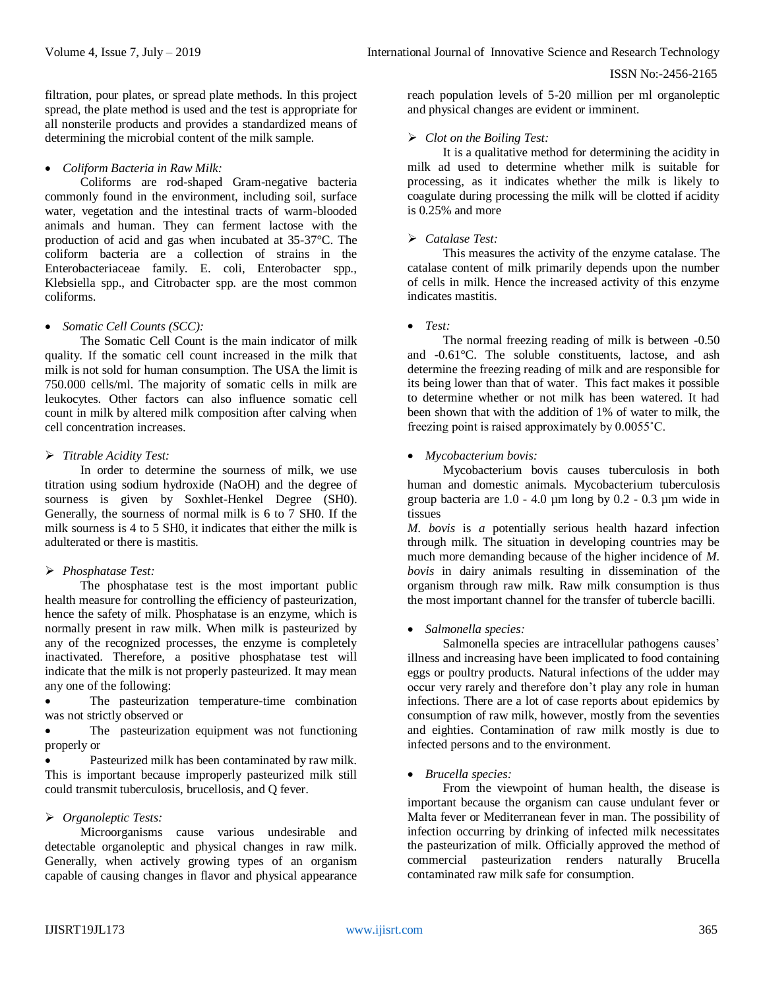filtration, pour plates, or spread plate methods. In this project spread, the plate method is used and the test is appropriate for all nonsterile products and provides a standardized means of determining the microbial content of the milk sample.

## *Coliform Bacteria in Raw Milk:*

Coliforms are rod-shaped Gram-negative bacteria commonly found in the environment, including soil, surface water, vegetation and the intestinal tracts of warm-blooded animals and human. They can ferment lactose with the production of acid and gas when incubated at 35-37°C. The coliform bacteria are a collection of strains in the Enterobacteriaceae family. E. coli, Enterobacter spp., Klebsiella spp., and Citrobacter spp. are the most common coliforms.

## *Somatic Cell Counts (SCC):*

The Somatic Cell Count is the main indicator of milk quality. If the somatic cell count increased in the milk that milk is not sold for human consumption. The USA the limit is 750.000 cells/ml. The majority of somatic cells in milk are leukocytes. Other factors can also influence somatic cell count in milk by altered milk composition after calving when cell concentration increases.

## *Titrable Acidity Test:*

In order to determine the sourness of milk, we use titration using sodium hydroxide (NaOH) and the degree of sourness is given by Soxhlet-Henkel Degree (SH0). Generally, the sourness of normal milk is 6 to 7 SH0. If the milk sourness is 4 to 5 SH0, it indicates that either the milk is adulterated or there is mastitis.

## *Phosphatase Test:*

The phosphatase test is the most important public health measure for controlling the efficiency of pasteurization, hence the safety of milk. Phosphatase is an enzyme, which is normally present in raw milk. When milk is pasteurized by any of the recognized processes, the enzyme is completely inactivated. Therefore, a positive phosphatase test will indicate that the milk is not properly pasteurized. It may mean any one of the following:

 The pasteurization temperature-time combination was not strictly observed or

 The pasteurization equipment was not functioning properly or

 Pasteurized milk has been contaminated by raw milk. This is important because improperly pasteurized milk still could transmit tuberculosis, brucellosis, and Q fever.

## *Organoleptic Tests:*

Microorganisms cause various undesirable and detectable organoleptic and physical changes in raw milk. Generally, when actively growing types of an organism capable of causing changes in flavor and physical appearance reach population levels of 5-20 million per ml organoleptic and physical changes are evident or imminent.

## *Clot on the Boiling Test:*

It is a qualitative method for determining the acidity in milk ad used to determine whether milk is suitable for processing, as it indicates whether the milk is likely to coagulate during processing the milk will be clotted if acidity is 0.25% and more

## *Catalase Test:*

This measures the activity of the enzyme catalase. The catalase content of milk primarily depends upon the number of cells in milk. Hence the increased activity of this enzyme indicates mastitis.

## *Test:*

The normal freezing reading of milk is between -0.50 and -0.61°C. The soluble constituents, lactose, and ash determine the freezing reading of milk and are responsible for its being lower than that of water. This fact makes it possible to determine whether or not milk has been watered. It had been shown that with the addition of 1% of water to milk, the freezing point is raised approximately by 0.0055˚C.

## *Mycobacterium bovis:*

Mycobacterium bovis causes tuberculosis in both human and domestic animals. Mycobacterium tuberculosis group bacteria are 1.0 - 4.0 µm long by 0.2 - 0.3 µm wide in tissues

*M. bovis* is *a* potentially serious health hazard infection through milk. The situation in developing countries may be much more demanding because of the higher incidence of *M. bovis* in dairy animals resulting in dissemination of the organism through raw milk. Raw milk consumption is thus the most important channel for the transfer of tubercle bacilli.

#### *Salmonella species:*

Salmonella species are intracellular pathogens causes' illness and increasing have been implicated to food containing eggs or poultry products. Natural infections of the udder may occur very rarely and therefore don't play any role in human infections. There are a lot of case reports about epidemics by consumption of raw milk, however, mostly from the seventies and eighties. Contamination of raw milk mostly is due to infected persons and to the environment.

#### *Brucella species:*

From the viewpoint of human health, the disease is important because the organism can cause undulant fever or Malta fever or Mediterranean fever in man. The possibility of infection occurring by drinking of infected milk necessitates the pasteurization of milk. Officially approved the method of commercial pasteurization renders naturally Brucella contaminated raw milk safe for consumption.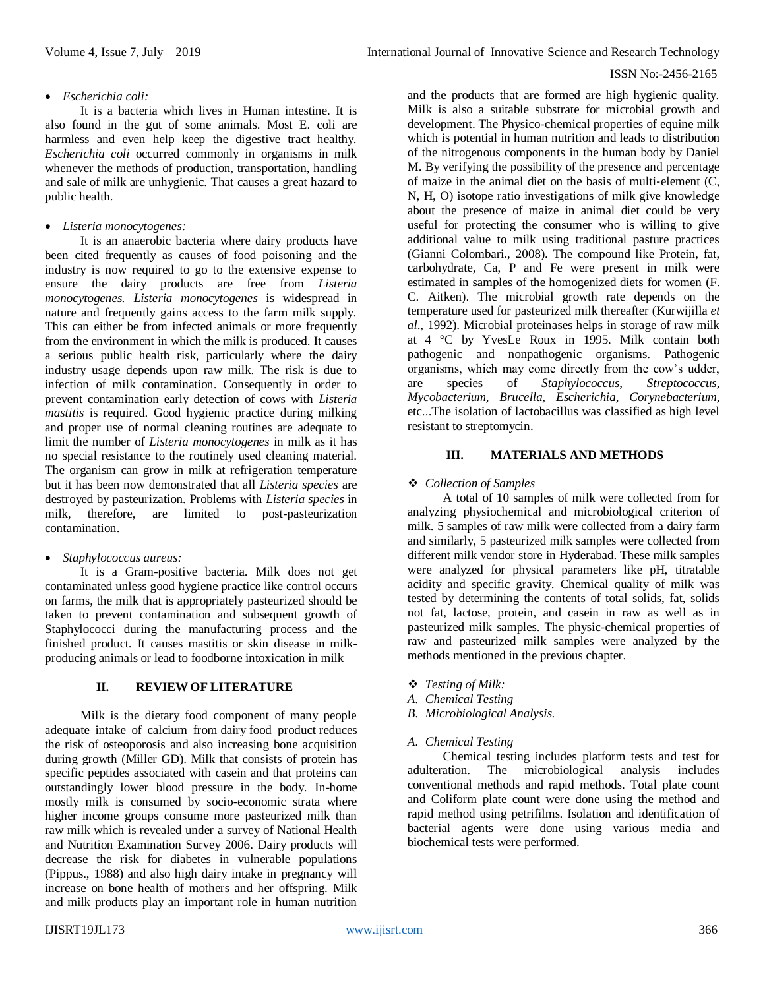## *Escherichia coli:*

It is a bacteria which lives in Human intestine. It is also found in the gut of some animals. Most E. coli are harmless and even help keep the digestive tract healthy. *Escherichia coli* occurred commonly in organisms in milk whenever the methods of production, transportation, handling and sale of milk are unhygienic. That causes a great hazard to public health.

## *Listeria monocytogenes:*

It is an anaerobic bacteria where dairy products have been cited frequently as causes of food poisoning and the industry is now required to go to the extensive expense to ensure the dairy products are free from *Listeria monocytogenes. Listeria monocytogenes* is widespread in nature and frequently gains access to the farm milk supply. This can either be from infected animals or more frequently from the environment in which the milk is produced. It causes a serious public health risk, particularly where the dairy industry usage depends upon raw milk. The risk is due to infection of milk contamination. Consequently in order to prevent contamination early detection of cows with *Listeria mastitis* is required. Good hygienic practice during milking and proper use of normal cleaning routines are adequate to limit the number of *Listeria monocytogenes* in milk as it has no special resistance to the routinely used cleaning material. The organism can grow in milk at refrigeration temperature but it has been now demonstrated that all *Listeria species* are destroyed by pasteurization. Problems with *Listeria species* in milk, therefore, are limited to post-pasteurization contamination.

## *Staphylococcus aureus:*

It is a Gram-positive bacteria. Milk does not get contaminated unless good hygiene practice like control occurs on farms, the milk that is appropriately pasteurized should be taken to prevent contamination and subsequent growth of Staphylococci during the manufacturing process and the finished product. It causes mastitis or skin disease in milkproducing animals or lead to foodborne intoxication in milk

## **II. REVIEW OF LITERATURE**

Milk is the dietary food component of many people adequate intake of calcium from dairy food product reduces the risk of osteoporosis and also increasing bone acquisition during growth (Miller GD). Milk that consists of protein has specific peptides associated with casein and that proteins can outstandingly lower blood pressure in the body. In-home mostly milk is consumed by socio-economic strata where higher income groups consume more pasteurized milk than raw milk which is revealed under a survey of National Health and Nutrition Examination Survey 2006. Dairy products will decrease the risk for diabetes in vulnerable populations (Pippus., 1988) and also high dairy intake in pregnancy will increase on bone health of mothers and her offspring. Milk and milk products play an important role in human nutrition

and the products that are formed are high hygienic quality. Milk is also a suitable substrate for microbial growth and development. The Physico-chemical properties of equine milk which is potential in human nutrition and leads to distribution of the nitrogenous components in the human body by Daniel M. By verifying the possibility of the presence and percentage of maize in the animal diet on the basis of multi‐element (C, N, H, O) isotope ratio investigations of milk give knowledge about the presence of maize in animal diet could be very useful for protecting the consumer who is willing to give additional value to milk using traditional pasture practices (Gianni Colombari., 2008). The compound like Protein, fat, carbohydrate, Ca, P and Fe were present in milk were estimated in samples of the homogenized diets for women (F. C. Aitken). The microbial growth rate depends on the temperature used for pasteurized milk thereafter (Kurwijilla *et al*., 1992). Microbial proteinases helps in storage of raw milk at 4 °C by YvesLe Roux in 1995. Milk contain both pathogenic and nonpathogenic organisms. Pathogenic organisms, which may come directly from the cow's udder, are species of *Staphylococcus*, *Streptococcus*, *Mycobacterium, Brucella, Escherichia*, *Corynebacterium*, etc...The isolation of lactobacillus was classified as high level resistant to streptomycin.

## **III. MATERIALS AND METHODS**

## *Collection of Samples*

A total of 10 samples of milk were collected from for analyzing physiochemical and microbiological criterion of milk. 5 samples of raw milk were collected from a dairy farm and similarly, 5 pasteurized milk samples were collected from different milk vendor store in Hyderabad. These milk samples were analyzed for physical parameters like pH, titratable acidity and specific gravity. Chemical quality of milk was tested by determining the contents of total solids, fat, solids not fat, lactose, protein, and casein in raw as well as in pasteurized milk samples. The physic-chemical properties of raw and pasteurized milk samples were analyzed by the methods mentioned in the previous chapter.

- *Testing of Milk:*
- *A. Chemical Testing*
- *B. Microbiological Analysis.*
- *A. Chemical Testing*

Chemical testing includes platform tests and test for adulteration. The microbiological analysis includes conventional methods and rapid methods. Total plate count and Coliform plate count were done using the method and rapid method using petrifilms. Isolation and identification of bacterial agents were done using various media and biochemical tests were performed.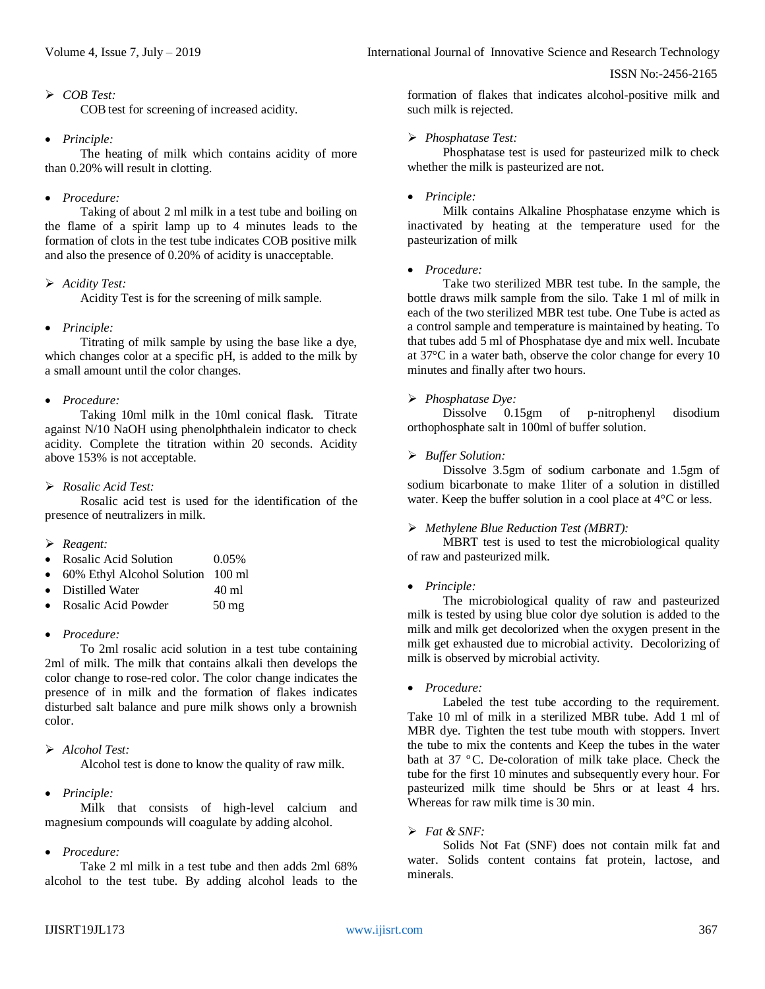#### *COB Test:*

COB test for screening of increased acidity.

## *Principle:*

The heating of milk which contains acidity of more than 0.20% will result in clotting.

## *Procedure:*

Taking of about 2 ml milk in a test tube and boiling on the flame of a spirit lamp up to 4 minutes leads to the formation of clots in the test tube indicates COB positive milk and also the presence of 0.20% of acidity is unacceptable.

## *Acidity Test:*

Acidity Test is for the screening of milk sample.

## *Principle:*

Titrating of milk sample by using the base like a dye, which changes color at a specific pH, is added to the milk by a small amount until the color changes.

## *Procedure:*

Taking 10ml milk in the 10ml conical flask. Titrate against N/10 NaOH using phenolphthalein indicator to check acidity. Complete the titration within 20 seconds. Acidity above 153% is not acceptable.

## *Rosalic Acid Test:*

Rosalic acid test is used for the identification of the presence of neutralizers in milk.

- *Reagent:*
- Rosalic Acid Solution 0.05%
- 60% Ethyl Alcohol Solution 100 ml
- Distilled Water 40 ml
- Rosalic Acid Powder 50 mg

## *Procedure:*

To 2ml rosalic acid solution in a test tube containing 2ml of milk. The milk that contains alkali then develops the color change to rose-red color. The color change indicates the presence of in milk and the formation of flakes indicates disturbed salt balance and pure milk shows only a brownish color.

## *Alcohol Test:*

Alcohol test is done to know the quality of raw milk.

## *Principle:*

Milk that consists of high-level calcium and magnesium compounds will coagulate by adding alcohol.

## *Procedure:*

Take 2 ml milk in a test tube and then adds 2ml 68% alcohol to the test tube. By adding alcohol leads to the formation of flakes that indicates alcohol-positive milk and such milk is rejected.

## *Phosphatase Test:*

Phosphatase test is used for pasteurized milk to check whether the milk is pasteurized are not.

#### *Principle:*

Milk contains Alkaline Phosphatase enzyme which is inactivated by heating at the temperature used for the pasteurization of milk

#### *Procedure:*

Take two sterilized MBR test tube. In the sample, the bottle draws milk sample from the silo. Take 1 ml of milk in each of the two sterilized MBR test tube. One Tube is acted as a control sample and temperature is maintained by heating. To that tubes add 5 ml of Phosphatase dye and mix well. Incubate at 37°C in a water bath, observe the color change for every 10 minutes and finally after two hours.

## *Phosphatase Dye:*

Dissolve 0.15gm of p-nitrophenyl disodium orthophosphate salt in 100ml of buffer solution.

## *Buffer Solution:*

Dissolve 3.5gm of sodium carbonate and 1.5gm of sodium bicarbonate to make 1liter of a solution in distilled water. Keep the buffer solution in a cool place at 4°C or less.

#### *Methylene Blue Reduction Test (MBRT):*

MBRT test is used to test the microbiological quality of raw and pasteurized milk.

#### *Principle:*

The microbiological quality of raw and pasteurized milk is tested by using blue color dye solution is added to the milk and milk get decolorized when the oxygen present in the milk get exhausted due to microbial activity. Decolorizing of milk is observed by microbial activity.

## *Procedure:*

Labeled the test tube according to the requirement. Take 10 ml of milk in a sterilized MBR tube. Add 1 ml of MBR dye. Tighten the test tube mouth with stoppers. Invert the tube to mix the contents and Keep the tubes in the water bath at 37 °C. De-coloration of milk take place. Check the tube for the first 10 minutes and subsequently every hour. For pasteurized milk time should be 5hrs or at least 4 hrs. Whereas for raw milk time is 30 min.

## *Fat & SNF:*

Solids Not Fat (SNF) does not contain milk fat and water. Solids content contains fat protein, lactose, and minerals.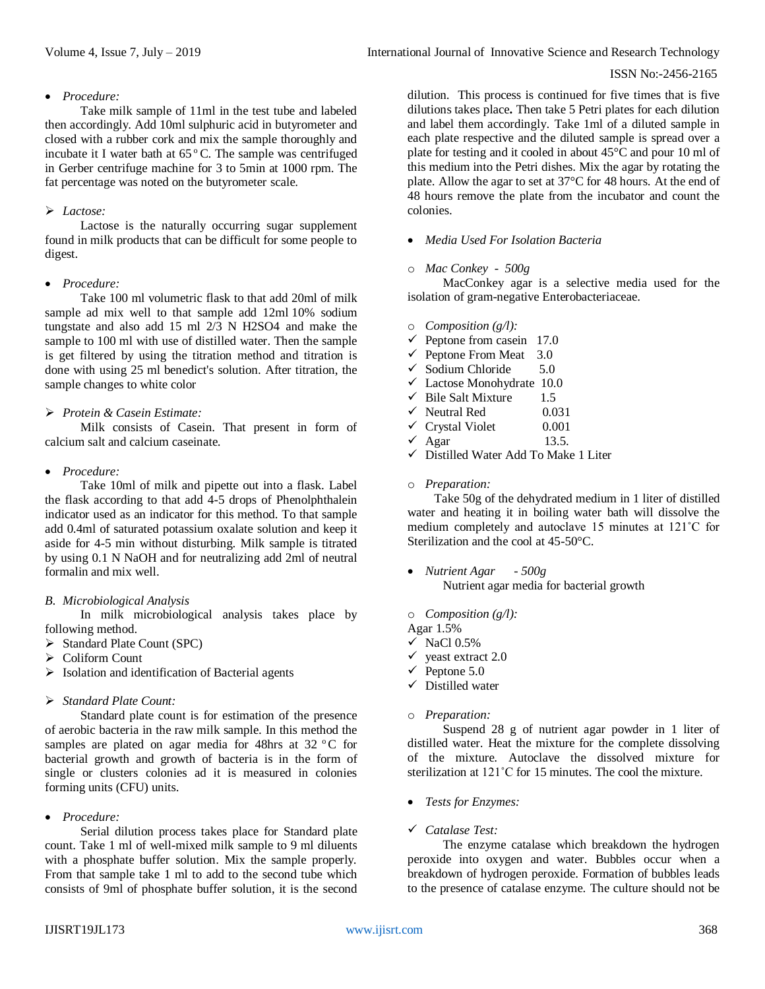### *Procedure:*

Take milk sample of 11ml in the test tube and labeled then accordingly. Add 10ml sulphuric acid in butyrometer and closed with a rubber cork and mix the sample thoroughly and incubate it I water bath at  $65^{\circ}$ C. The sample was centrifuged in Gerber centrifuge machine for 3 to 5min at 1000 rpm. The fat percentage was noted on the butyrometer scale.

## *Lactose:*

Lactose is the naturally occurring sugar supplement found in milk products that can be difficult for some people to digest.

#### *Procedure:*

Take 100 ml volumetric flask to that add 20ml of milk sample ad mix well to that sample add 12ml 10% sodium tungstate and also add 15 ml 2/3 N H2SO4 and make the sample to 100 ml with use of distilled water. Then the sample is get filtered by using the titration method and titration is done with using 25 ml benedict's solution. After titration, the sample changes to white color

## *Protein & Casein Estimate:*

Milk consists of Casein. That present in form of calcium salt and calcium caseinate.

## *Procedure:*

Take 10ml of milk and pipette out into a flask. Label the flask according to that add 4-5 drops of Phenolphthalein indicator used as an indicator for this method. To that sample add 0.4ml of saturated potassium oxalate solution and keep it aside for 4-5 min without disturbing. Milk sample is titrated by using 0.1 N NaOH and for neutralizing add 2ml of neutral formalin and mix well.

## *B. Microbiological Analysis*

In milk microbiological analysis takes place by following method.

- Standard Plate Count (SPC)
- $\triangleright$  Coliform Count
- $\triangleright$  Isolation and identification of Bacterial agents

#### *Standard Plate Count:*

Standard plate count is for estimation of the presence of aerobic bacteria in the raw milk sample. In this method the samples are plated on agar media for 48hrs at  $32 °C$  for bacterial growth and growth of bacteria is in the form of single or clusters colonies ad it is measured in colonies forming units (CFU) units.

*Procedure:*

Serial dilution process takes place for Standard plate count. Take 1 ml of well-mixed milk sample to 9 ml diluents with a phosphate buffer solution. Mix the sample properly. From that sample take 1 ml to add to the second tube which consists of 9ml of phosphate buffer solution, it is the second

dilution. This process is continued for five times that is five dilutions takes place**.** Then take 5 Petri plates for each dilution and label them accordingly. Take 1ml of a diluted sample in each plate respective and the diluted sample is spread over a plate for testing and it cooled in about 45°C and pour 10 ml of this medium into the Petri dishes. Mix the agar by rotating the plate. Allow the agar to set at 37°C for 48 hours. At the end of 48 hours remove the plate from the incubator and count the colonies.

## *Media Used For Isolation Bacteria*

## o *Mac Conkey - 500g*

MacConkey agar is a selective media used for the isolation of gram-negative Enterobacteriaceae.

- o *Composition (g/l):*
- $\checkmark$  Peptone from casein 17.0
- $\checkmark$  Peptone From Meat 3.0
- $\checkmark$  Sodium Chloride 5.0
- $\times$  Lactose Monohydrate 10.0
- $\checkmark$  Bile Salt Mixture 1.5
- $\checkmark$  Neutral Red 0.031
- $\checkmark$  Crystal Violet 0.001
- $\checkmark$  Agar 13.5.
- Distilled Water Add To Make 1 Liter

## o *Preparation:*

Take 50g of the dehydrated medium in 1 liter of distilled water and heating it in boiling water bath will dissolve the medium completely and autoclave 15 minutes at 121˚C for Sterilization and the cool at 45-50°C.

- *Nutrient Agar - 500g* Nutrient agar media for bacterial growth
- o *Composition (g/l):*
- Agar 1.5%
- $\checkmark$  NaCl 0.5%
- $\checkmark$  yeast extract 2.0
- $\checkmark$  Peptone 5.0
- $\checkmark$  Distilled water
- o *Preparation:*

Suspend 28 g of nutrient agar powder in 1 liter of distilled water. Heat the mixture for the complete dissolving of the mixture. Autoclave the dissolved mixture for sterilization at 121˚C for 15 minutes. The cool the mixture.

*Tests for Enzymes:*

## *Catalase Test:*

The enzyme catalase which breakdown the hydrogen peroxide into oxygen and water. Bubbles occur when a breakdown of hydrogen peroxide. Formation of bubbles leads to the presence of catalase enzyme. The culture should not be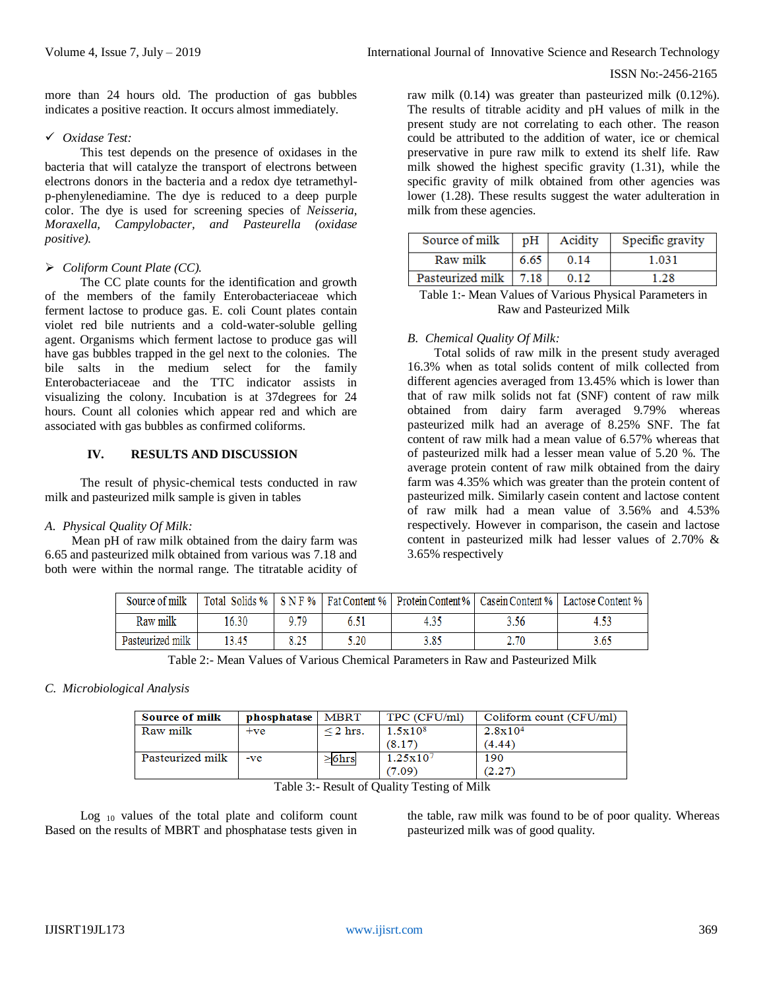more than 24 hours old. The production of gas bubbles indicates a positive reaction. It occurs almost immediately.

## *Oxidase Test:*

This test depends on the presence of oxidases in the bacteria that will catalyze the transport of electrons between electrons donors in the bacteria and a redox dye tetramethylp-phenylenediamine. The dye is reduced to a deep purple color. The dye is used for screening species of *Neisseria, Moraxella, Campylobacter, and Pasteurella (oxidase positive).* 

## *Coliform Count Plate (CC).*

The CC plate counts for the identification and growth of the members of the family Enterobacteriaceae which ferment lactose to produce gas. E. coli Count plates contain violet red bile nutrients and a cold-water-soluble gelling agent. Organisms which ferment lactose to produce gas will have gas bubbles trapped in the gel next to the colonies. The bile salts in the medium select for the family Enterobacteriaceae and the TTC indicator assists in visualizing the colony. Incubation is at 37degrees for 24 hours. Count all colonies which appear red and which are associated with gas bubbles as confirmed coliforms.

## **IV. RESULTS AND DISCUSSION**

The result of physic-chemical tests conducted in raw milk and pasteurized milk sample is given in tables

## *A. Physical Quality Of Milk:*

Mean pH of raw milk obtained from the dairy farm was 6.65 and pasteurized milk obtained from various was 7.18 and both were within the normal range. The titratable acidity of

raw milk (0.14) was greater than pasteurized milk (0.12%). The results of titrable acidity and pH values of milk in the present study are not correlating to each other. The reason could be attributed to the addition of water, ice or chemical preservative in pure raw milk to extend its shelf life. Raw milk showed the highest specific gravity (1.31), while the specific gravity of milk obtained from other agencies was lower (1.28). These results suggest the water adulteration in milk from these agencies.

| Source of milk   | pΗ   | Acidity | Specific gravity |
|------------------|------|---------|------------------|
| Raw milk         | 6.65 | 0.14    | 1 031            |
| Pasteurized milk | 7.18 | 0.12    | 128              |

Table 1:- Mean Values of Various Physical Parameters in Raw and Pasteurized Milk

## *B. Chemical Quality Of Milk:*

Total solids of raw milk in the present study averaged 16.3% when as total solids content of milk collected from different agencies averaged from 13.45% which is lower than that of raw milk solids not fat (SNF) content of raw milk obtained from dairy farm averaged 9.79% whereas pasteurized milk had an average of 8.25% SNF. The fat content of raw milk had a mean value of 6.57% whereas that of pasteurized milk had a lesser mean value of 5.20 %. The average protein content of raw milk obtained from the dairy farm was 4.35% which was greater than the protein content of pasteurized milk. Similarly casein content and lactose content of raw milk had a mean value of 3.56% and 4.53% respectively. However in comparison, the casein and lactose content in pasteurized milk had lesser values of 2.70% & 3.65% respectively

| Source of milk   |       |      |      |      |      | Total Solids %   SNF %   Fat Content %   Protein Content %   Casein Content %   Lactose Content % |
|------------------|-------|------|------|------|------|---------------------------------------------------------------------------------------------------|
| Raw milk         | 16.30 | 0.70 |      |      | 3.56 | 4.53                                                                                              |
| Pasteurized milk | 13.45 |      | 5.20 | 3.85 | 2.70 | 3.65                                                                                              |

## *C. Microbiological Analysis*

| <b>Source of milk</b> | phosphatase | MBRT          | TPC (CFU/ml)         | Coliform count (CFU/ml) |
|-----------------------|-------------|---------------|----------------------|-------------------------|
| Raw milk              | $+ve$       | $\leq$ 2 hrs. | 1.5x10 <sup>8</sup>  | 2.8x10 <sup>4</sup>     |
|                       |             |               | (8.17)               | (4.44)                  |
| Pasteurized milk      | -ve         | $\geq$ 6hrs   | $1.25 \times 10^{7}$ | 190                     |
|                       |             |               | (7.09)               | (2.27)                  |

Table 3:- Result of Quality Testing of Milk

Log <sup>10</sup> values of the total plate and coliform count Based on the results of MBRT and phosphatase tests given in

the table, raw milk was found to be of poor quality. Whereas pasteurized milk was of good quality.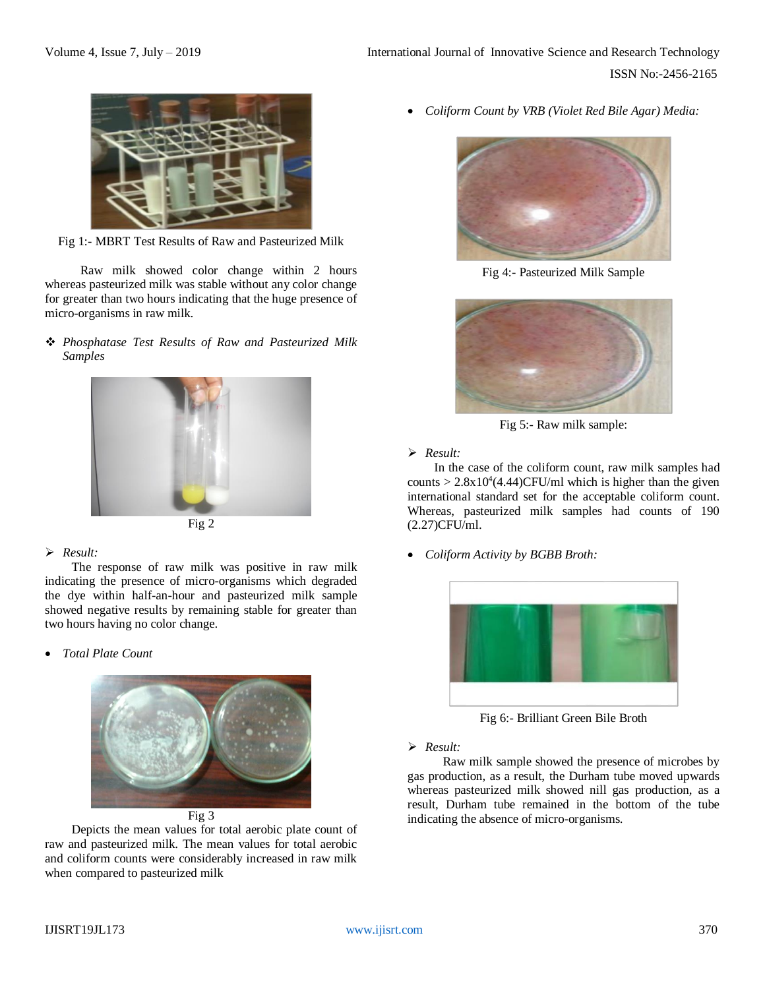

Fig 1:- MBRT Test Results of Raw and Pasteurized Milk

Raw milk showed color change within 2 hours whereas pasteurized milk was stable without any color change for greater than two hours indicating that the huge presence of micro-organisms in raw milk.

 *Phosphatase Test Results of Raw and Pasteurized Milk Samples*



## *Result:*

The response of raw milk was positive in raw milk indicating the presence of micro-organisms which degraded the dye within half-an-hour and pasteurized milk sample showed negative results by remaining stable for greater than two hours having no color change.

*Total Plate Count*



Depicts the mean values for total aerobic plate count of raw and pasteurized milk. The mean values for total aerobic and coliform counts were considerably increased in raw milk when compared to pasteurized milk

*Coliform Count by VRB (Violet Red Bile Agar) Media:*



Fig 4:- Pasteurized Milk Sample



Fig 5:- Raw milk sample:

## *Result:*

In the case of the coliform count, raw milk samples had  $counts > 2.8x10<sup>4</sup>(4.44)CFU/ml which is higher than the given$ international standard set for the acceptable coliform count. Whereas, pasteurized milk samples had counts of 190 (2.27)CFU/ml.

*Coliform Activity by BGBB Broth:*



Fig 6:- Brilliant Green Bile Broth

## *Result:*

Raw milk sample showed the presence of microbes by gas production, as a result, the Durham tube moved upwards whereas pasteurized milk showed nill gas production, as a result, Durham tube remained in the bottom of the tube indicating the absence of micro-organisms.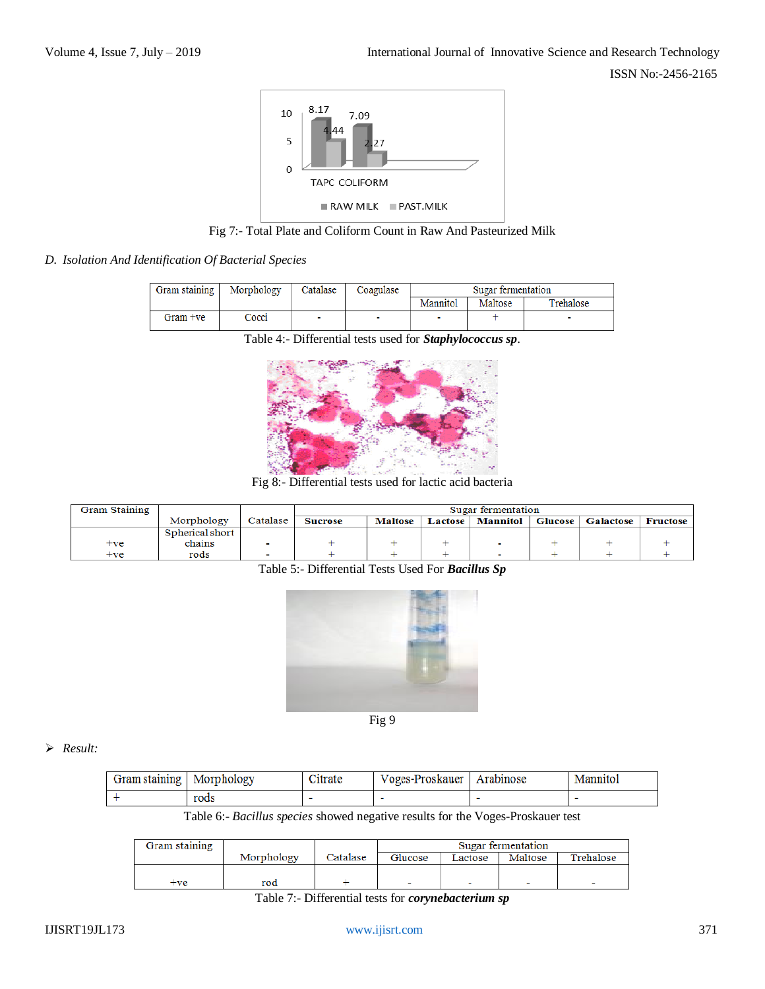

Fig 7:- Total Plate and Coliform Count in Raw And Pasteurized Milk

## *D. Isolation And Identification Of Bacterial Species*

| Gram staining | Morphology | Catalase | Coagulase | Sugar fermentation |         |           |  |
|---------------|------------|----------|-----------|--------------------|---------|-----------|--|
|               |            |          |           | Mannitol           | Maltose | Trehalose |  |
| $Gram +ve$    | Cocci      |          |           |                    |         |           |  |

| Table 4:- Differential tests used for Staphylococcus sp. |  |  |  |  |  |  |  |  |
|----------------------------------------------------------|--|--|--|--|--|--|--|--|
|----------------------------------------------------------|--|--|--|--|--|--|--|--|



Fig 8:- Differential tests used for lactic acid bacteria

| <b>Gram Staining</b> |                 |          | Sugar fermentation |         |                |          |  |                     |          |
|----------------------|-----------------|----------|--------------------|---------|----------------|----------|--|---------------------|----------|
|                      | Morphology      | Catalase | <b>Sucrose</b>     | Maltose | <b>Lactose</b> | Mannitol |  | Glucose   Galactose | Fructose |
|                      | Spherical short |          |                    |         |                |          |  |                     |          |
| $+ve$                | chains          |          |                    |         |                |          |  |                     |          |
| $+ve$                | rods            | $\sim$   |                    |         |                | $\sim$   |  |                     |          |

Table 5:- Differential Tests Used For *Bacillus Sp*



Fig 9

*Result:* 

| Gram staining | Morphology | Citrate | Voges-Proskauer | Arabinose | Mannitol |
|---------------|------------|---------|-----------------|-----------|----------|
|               | rods       |         |                 |           |          |

Table 6:- *Bacillus species* showed negative results for the Voges-Proskauer test

| Gram staining |            |          | Sugar fermentation |         |                          |           |  |  |
|---------------|------------|----------|--------------------|---------|--------------------------|-----------|--|--|
|               | Morphology | Catalase | Glucose            | Lactose | Maltose                  | Trehalose |  |  |
|               |            |          |                    |         |                          |           |  |  |
| +ve           | rod        |          |                    |         | $\overline{\phantom{a}}$ |           |  |  |

Table 7:- Differential tests for *corynebacterium sp*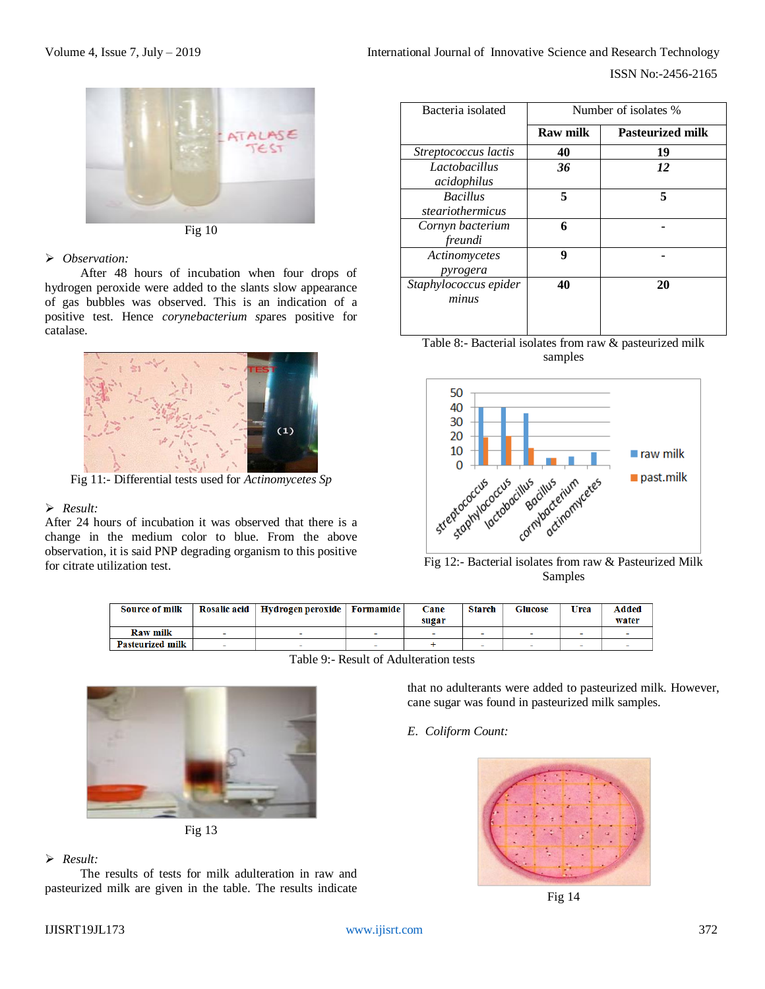

Fig 10

## *Observation:*

After 48 hours of incubation when four drops of hydrogen peroxide were added to the slants slow appearance of gas bubbles was observed. This is an indication of a positive test. Hence *corynebacterium sp*ares positive for catalase.



Fig 11:- Differential tests used for *Actinomycetes Sp*

## *Result:*

After 24 hours of incubation it was observed that there is a change in the medium color to blue. From the above observation, it is said PNP degrading organism to this positive for citrate utilization test.

| Bacteria isolated                   | Number of isolates % |                         |  |  |  |  |
|-------------------------------------|----------------------|-------------------------|--|--|--|--|
|                                     | <b>Raw milk</b>      | <b>Pasteurized milk</b> |  |  |  |  |
| Streptococcus lactis                | 40                   | 19                      |  |  |  |  |
| Lactobacillus                       | 36                   | 12                      |  |  |  |  |
| acidophilus                         |                      |                         |  |  |  |  |
| <b>Bacillus</b><br>steariothermicus | 5                    | 5                       |  |  |  |  |
| Cornyn bacterium<br>freundi         | 6                    |                         |  |  |  |  |
| Actinomycetes<br>pyrogera           | 9                    |                         |  |  |  |  |
| Staphylococcus epider<br>minus      | 40                   | 20                      |  |  |  |  |
|                                     |                      |                         |  |  |  |  |

Table 8:- Bacterial isolates from raw & pasteurized milk samples



Fig 12:- Bacterial isolates from raw & Pasteurized Milk Samples

| <b>Source of milk</b>   |   | Rosalic acid   Hydrogen peroxide   Formamide |                          | Cane<br>sugar            | Starch | <b>Glucose</b>           | Urea | Added<br>water |
|-------------------------|---|----------------------------------------------|--------------------------|--------------------------|--------|--------------------------|------|----------------|
| Raw milk                | - | -                                            | $\overline{\phantom{a}}$ | $\overline{\phantom{a}}$ | -      | -                        |      |                |
| <b>Pasteurized milk</b> | - | -                                            | $\overline{\phantom{a}}$ |                          | -      | $\overline{\phantom{a}}$ | -    | -              |
|                         |   |                                              |                          |                          |        |                          |      |                |

Table 9:- Result of Adulteration tests



Fig 13

# *Result:*

The results of tests for milk adulteration in raw and pasteurized milk are given in the table. The results indicate that no adulterants were added to pasteurized milk. However, cane sugar was found in pasteurized milk samples.

*E. Coliform Count:* 



Fig 14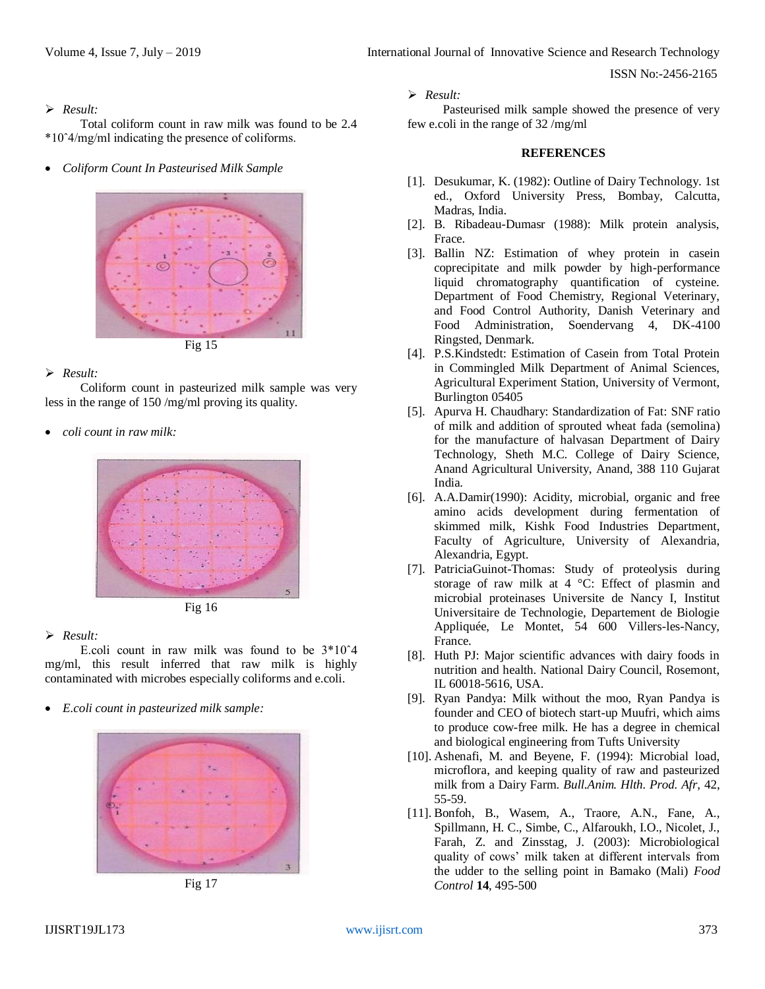## *Result:*

Total coliform count in raw milk was found to be 2.4 \*10ˆ4/mg/ml indicating the presence of coliforms.

*Coliform Count In Pasteurised Milk Sample*



## *Result:*

Coliform count in pasteurized milk sample was very less in the range of 150 /mg/ml proving its quality.

*coli count in raw milk:*





## *Result:*

E.coli count in raw milk was found to be 3\*10ˆ4 mg/ml, this result inferred that raw milk is highly contaminated with microbes especially coliforms and e.coli.

*E.coli count in pasteurized milk sample:*



Fig 17

## *Result:*

Pasteurised milk sample showed the presence of very few e.coli in the range of 32 /mg/ml

## **REFERENCES**

- [1]. Desukumar, K. (1982): Outline of Dairy Technology. 1st ed., Oxford University Press, Bombay, Calcutta, Madras, India.
- [2]. B. Ribadeau-Dumasr (1988): Milk protein analysis, Frace.
- [3]. Ballin NZ: Estimation of whey protein in casein coprecipitate and milk powder by high-performance liquid chromatography quantification of cysteine. Department of Food Chemistry, Regional Veterinary, and Food Control Authority, Danish Veterinary and Food Administration, Soendervang 4, DK-4100 Ringsted, Denmark.
- [4]. P.S.Kindstedt: Estimation of Casein from Total Protein in Commingled Milk Department of Animal Sciences, Agricultural Experiment Station, University of Vermont, Burlington 05405
- [5]. Apurva H. Chaudhary: Standardization of Fat: SNF ratio of milk and addition of sprouted wheat fada (semolina) for the manufacture of halvasan Department of Dairy Technology, Sheth M.C. College of Dairy Science, Anand Agricultural University, Anand, 388 110 Gujarat India.
- [6]. A.A.Damir(1990): Acidity, microbial, organic and free amino acids development during fermentation of skimmed milk, Kishk Food Industries Department, Faculty of Agriculture, University of Alexandria, Alexandria, Egypt.
- [7]. PatriciaGuinot-Thomas: Study of proteolysis during storage of raw milk at 4 °C: Effect of plasmin and microbial proteinases Universite de Nancy I, Institut Universitaire de Technologie, Departement de Biologie Appliquée, Le Montet, 54 600 Villers-les-Nancy, France.
- [8]. Huth PJ: Major scientific advances with dairy foods in nutrition and health. National Dairy Council, Rosemont, IL 60018-5616, USA.
- [9]. Ryan Pandya: Milk without the moo, Ryan Pandya is founder and CEO of biotech start-up Muufri, which aims to produce cow-free milk. He has a degree in chemical and biological engineering from Tufts University
- [10]. Ashenafi, M. and Beyene, F. (1994): Microbial load, microflora, and keeping quality of raw and pasteurized milk from a Dairy Farm. *Bull.Anim. Hlth. Prod. Afr,* 42, 55-59.
- [11]. Bonfoh, B., Wasem, A., Traore, A.N., Fane, A., Spillmann, H. C., Simbe, C., Alfaroukh, I.O., Nicolet, J., Farah, Z. and Zinsstag, J. (2003): Microbiological quality of cows' milk taken at different intervals from the udder to the selling point in Bamako (Mali) *Food Control* **14**, 495-500